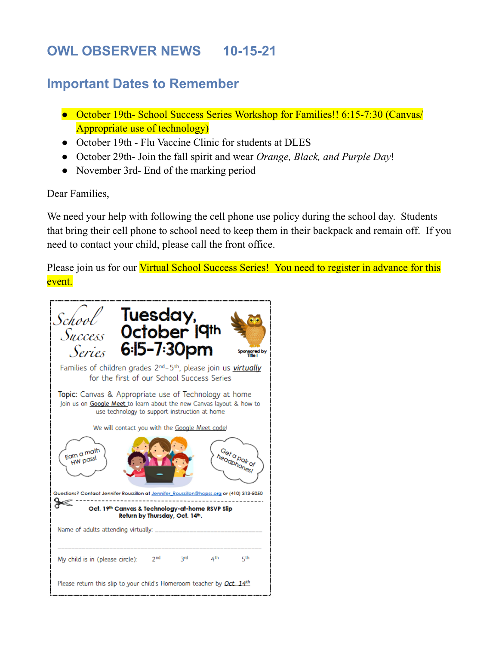# **OWL OBSERVER NEWS 10-15-21**

# **Important Dates to Remember**

- October 19th- School Success Series Workshop for Families!! 6:15-7:30 (Canvas/ Appropriate use of technology)
- October 19th Flu Vaccine Clinic for students at DLES
- October 29th- Join the fall spirit and wear *Orange, Black, and Purple Day*!
- November 3rd- End of the marking period

#### Dear Families,

We need your help with following the cell phone use policy during the school day. Students that bring their cell phone to school need to keep them in their backpack and remain off. If you need to contact your child, please call the front office.

Please join us for our Virtual School Success Series! You need to register in advance for this event.

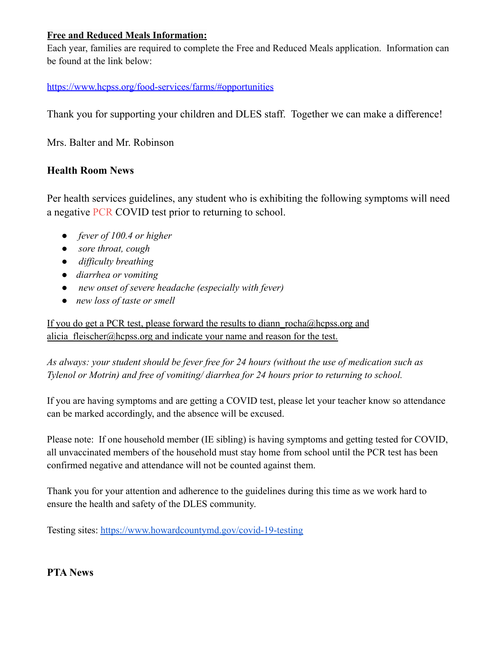#### **Free and Reduced Meals Information:**

Each year, families are required to complete the Free and Reduced Meals application. Information can be found at the link below:

#### <https://www.hcpss.org/food-services/farms/#opportunities>

Thank you for supporting your children and DLES staff. Together we can make a difference!

Mrs. Balter and Mr. Robinson

### **Health Room News**

Per health services guidelines, any student who is exhibiting the following symptoms will need a negative PCR COVID test prior to returning to school.

- *fever of 100.4 or higher*
- *sore throat, cough*
- *difficulty breathing*
- *diarrhea or vomiting*
- *new onset of severe headache (especially with fever)*
- *new loss of taste or smell*

If you do get a PCR test, please forward the results to diann rocha@hcpss.org and alicia\_fleischer@hcpss.org and indicate your name and reason for the test.

*As always: your student should be fever free for 24 hours (without the use of medication such as Tylenol or Motrin) and free of vomiting/ diarrhea for 24 hours prior to returning to school.*

If you are having symptoms and are getting a COVID test, please let your teacher know so attendance can be marked accordingly, and the absence will be excused.

Please note: If one household member (IE sibling) is having symptoms and getting tested for COVID, all unvaccinated members of the household must stay home from school until the PCR test has been confirmed negative and attendance will not be counted against them.

Thank you for your attention and adherence to the guidelines during this time as we work hard to ensure the health and safety of the DLES community.

Testing sites: [https://www.howardcountymd.gov/covid-19-testing](https://nam10.safelinks.protection.outlook.com/?url=https%3A%2F%2Fwww.howardcountymd.gov%2Fcovid-19-testing&data=04%7C01%7CJulie_Forman%40hcpss.org%7Ccd85762728e24066045608d98295513f%7C96a9ac4c477e4dada2b28ad3fc46790b%7C1%7C0%7C637684400096259433%7CUnknown%7CTWFpbGZsb3d8eyJWIjoiMC4wLjAwMDAiLCJQIjoiV2luMzIiLCJBTiI6Ik1haWwiLCJXVCI6Mn0%3D%7C1000&sdata=IPg3kjHVEqMm7d9IWKiXydaUsEJbdL0gFiAQQR3lXO0%3D&reserved=0)

**PTA News**